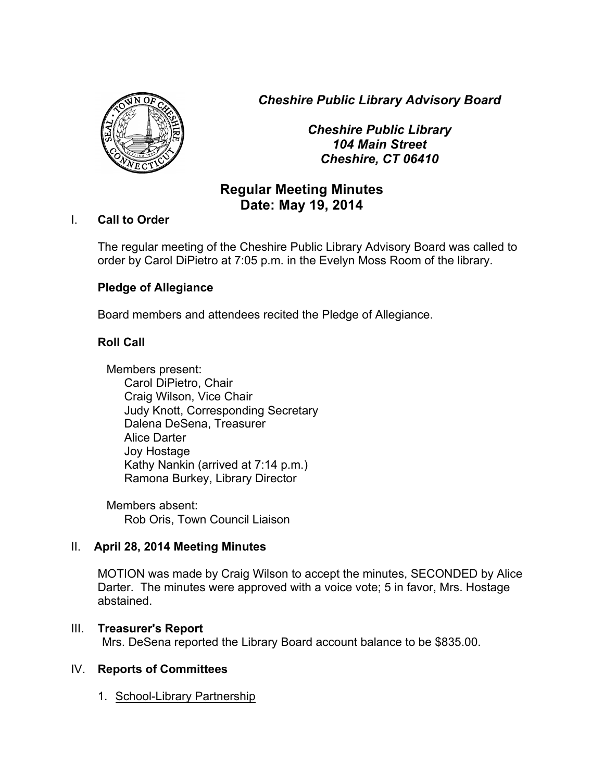*Cheshire Public Library Advisory Board*



*Cheshire Public Library 104 Main Street Cheshire, CT 06410*

# **Regular Meeting Minutes Date: May 19, 2014**

#### I. **Call to Order**

The regular meeting of the Cheshire Public Library Advisory Board was called to order by Carol DiPietro at 7:05 p.m. in the Evelyn Moss Room of the library.

# **Pledge of Allegiance**

Board members and attendees recited the Pledge of Allegiance.

# **Roll Call**

Members present: Carol DiPietro, Chair Craig Wilson, Vice Chair Judy Knott, Corresponding Secretary Dalena DeSena, Treasurer Alice Darter Joy Hostage Kathy Nankin (arrived at 7:14 p.m.) Ramona Burkey, Library Director

Members absent: Rob Oris, Town Council Liaison

# II. **April 28, 2014 Meeting Minutes**

MOTION was made by Craig Wilson to accept the minutes, SECONDED by Alice Darter. The minutes were approved with a voice vote; 5 in favor, Mrs. Hostage abstained.

# III. **Treasurer's Report**

Mrs. DeSena reported the Library Board account balance to be \$835.00.

# IV. **Reports of Committees**

1. School-Library Partnership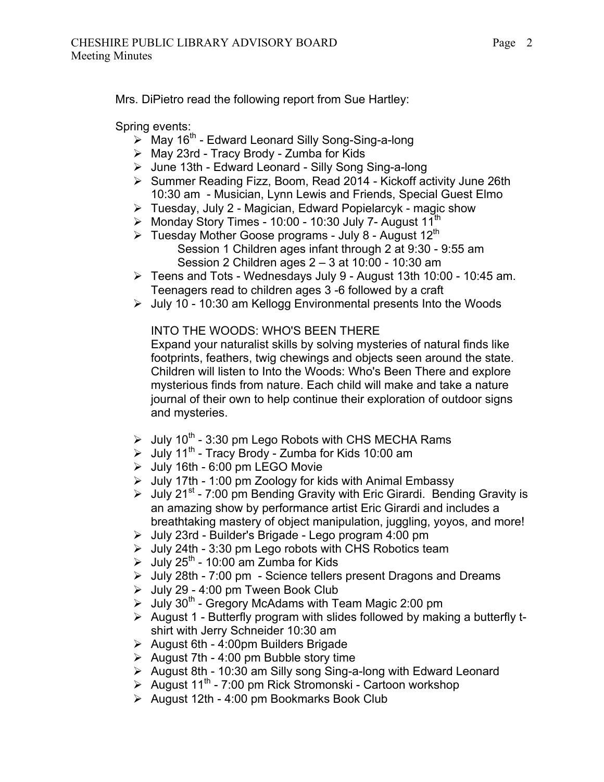Mrs. DiPietro read the following report from Sue Hartley:

Spring events:

- $\triangleright$  May 16<sup>th</sup> Edward Leonard Silly Song-Sing-a-long
- $\triangleright$  May 23rd Tracy Brody Zumba for Kids
- > June 13th Edward Leonard Silly Song Sing-a-long
- ▶ Summer Reading Fizz, Boom, Read 2014 Kickoff activity June 26th 10:30 am - Musician, Lynn Lewis and Friends, Special Guest Elmo
- $\triangleright$  Tuesday, July 2 Magician, Edward Popielarcyk magic show
- $\triangleright$  Monday Story Times 10:00 10:30 July 7- August 11<sup>th</sup>
- $\triangleright$  Tuesday Mother Goose programs July 8 August 12<sup>th</sup> Session 1 Children ages infant through 2 at 9:30 - 9:55 am Session 2 Children ages 2 – 3 at 10:00 - 10:30 am
- $\triangleright$  Teens and Tots Wednesdays July 9 August 13th 10:00 10:45 am. Teenagers read to children ages 3 -6 followed by a craft
- $\geq$  July 10 10:30 am Kellogg Environmental presents Into the Woods

INTO THE WOODS: WHO'S BEEN THERE

Expand your naturalist skills by solving mysteries of natural finds like footprints, feathers, twig chewings and objects seen around the state. Children will listen to Into the Woods: Who's Been There and explore mysterious finds from nature. Each child will make and take a nature journal of their own to help continue their exploration of outdoor signs and mysteries.

- $\geq$  July 10<sup>th</sup> 3:30 pm Lego Robots with CHS MECHA Rams
- $\triangleright$  July 11<sup>th</sup> Tracy Brody Zumba for Kids 10:00 am
- > July 16th 6:00 pm LEGO Movie
- $\triangleright$  July 17th 1:00 pm Zoology for kids with Animal Embassy
- $\geq$  July 21<sup>st</sup> 7:00 pm Bending Gravity with Eric Girardi. Bending Gravity is an amazing show by performance artist Eric Girardi and includes a breathtaking mastery of object manipulation, juggling, yoyos, and more!
- $\geq$  July 23rd Builder's Brigade Lego program 4:00 pm
- $\triangleright$  July 24th 3:30 pm Lego robots with CHS Robotics team
- $\geq$  July 25<sup>th</sup> 10:00 am Zumba for Kids
- $\triangleright$  July 28th 7:00 pm Science tellers present Dragons and Dreams
- $\geq$  July 29 4:00 pm Tween Book Club
- $\triangleright$  July 30<sup>th</sup> Gregory McAdams with Team Magic 2:00 pm
- $\triangleright$  August 1 Butterfly program with slides followed by making a butterfly tshirt with Jerry Schneider 10:30 am
- $\triangleright$  August 6th 4:00pm Builders Brigade
- $\triangleright$  August 7th 4:00 pm Bubble story time
- $\triangleright$  August 8th 10:30 am Silly song Sing-a-long with Edward Leonard
- $\triangleright$  August 11<sup>th</sup> 7:00 pm Rick Stromonski Cartoon workshop
- $\triangleright$  August 12th 4:00 pm Bookmarks Book Club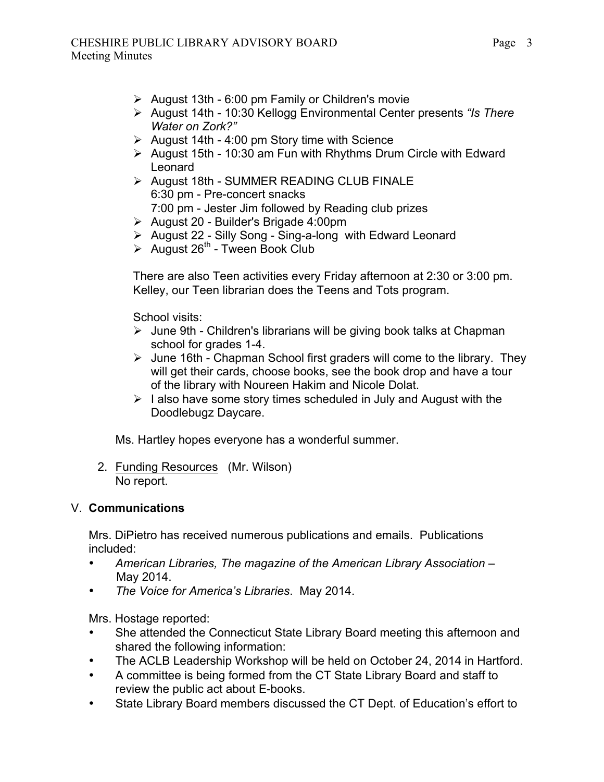- $\triangleright$  August 13th 6:00 pm Family or Children's movie
- ! August 14th 10:30 Kellogg Environmental Center presents *"Is There Water on Zork?"*
- $\geq$  August 14th 4:00 pm Story time with Science
- $\triangleright$  August 15th 10:30 am Fun with Rhythms Drum Circle with Edward Leonard
- $\triangleright$  August 18th SUMMER READING CLUB FINALE 6:30 pm - Pre-concert snacks 7:00 pm - Jester Jim followed by Reading club prizes
- $\triangleright$  August 20 Builder's Brigade 4:00pm
- $\triangleright$  August 22 Silly Song Sing-a-long with Edward Leonard
- $\triangleright$  August 26<sup>th</sup> Tween Book Club

There are also Teen activities every Friday afternoon at 2:30 or 3:00 pm. Kelley, our Teen librarian does the Teens and Tots program.

School visits:

- $\triangleright$  June 9th Children's librarians will be giving book talks at Chapman school for grades 1-4.
- $\triangleright$  June 16th Chapman School first graders will come to the library. They will get their cards, choose books, see the book drop and have a tour of the library with Noureen Hakim and Nicole Dolat.
- $\triangleright$  I also have some story times scheduled in July and August with the Doodlebugz Daycare.

Ms. Hartley hopes everyone has a wonderful summer.

2. Funding Resources (Mr. Wilson) No report.

#### V. **Communications**

Mrs. DiPietro has received numerous publications and emails. Publications included:

- *American Libraries, The magazine of the American Library Association* May 2014.
- *The Voice for America's Libraries*. May 2014.

Mrs. Hostage reported:

- She attended the Connecticut State Library Board meeting this afternoon and shared the following information:
- The ACLB Leadership Workshop will be held on October 24, 2014 in Hartford.
- A committee is being formed from the CT State Library Board and staff to review the public act about E-books.
- State Library Board members discussed the CT Dept. of Education's effort to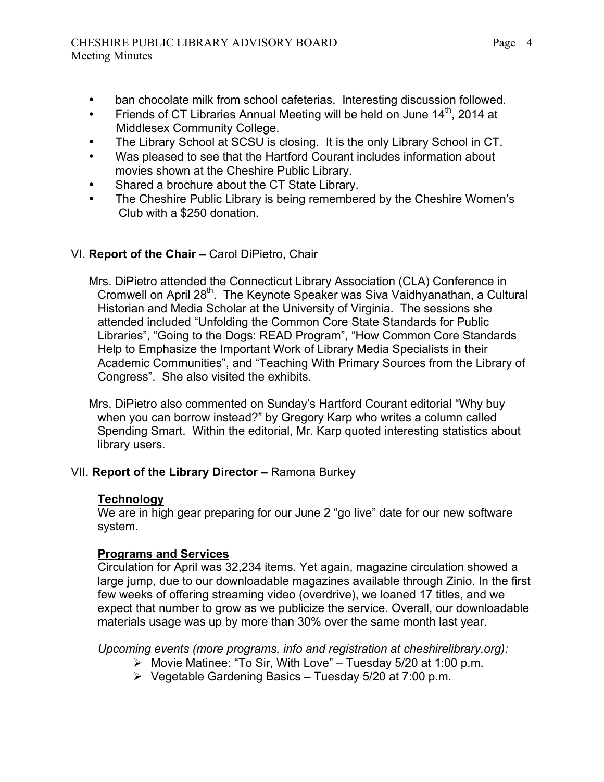#### CHESHIRE PUBLIC LIBRARY ADVISORY BOARD Meeting Minutes

- ban chocolate milk from school cafeterias. Interesting discussion followed.
- Friends of CT Libraries Annual Meeting will be held on June  $14<sup>th</sup>$ . 2014 at Middlesex Community College.
- The Library School at SCSU is closing. It is the only Library School in CT.
- Was pleased to see that the Hartford Courant includes information about movies shown at the Cheshire Public Library.
- Shared a brochure about the CT State Library.
- The Cheshire Public Library is being remembered by the Cheshire Women's Club with a \$250 donation.

# VI. **Report of the Chair –** Carol DiPietro, Chair

Mrs. DiPietro attended the Connecticut Library Association (CLA) Conference in Cromwell on April 28<sup>th</sup>. The Keynote Speaker was Siva Vaidhyanathan, a Cultural Historian and Media Scholar at the University of Virginia. The sessions she attended included "Unfolding the Common Core State Standards for Public Libraries", "Going to the Dogs: READ Program", "How Common Core Standards Help to Emphasize the Important Work of Library Media Specialists in their Academic Communities", and "Teaching With Primary Sources from the Library of Congress". She also visited the exhibits.

Mrs. DiPietro also commented on Sunday's Hartford Courant editorial "Why buy when you can borrow instead?" by Gregory Karp who writes a column called Spending Smart. Within the editorial, Mr. Karp quoted interesting statistics about library users.

# VII. **Report of the Library Director –** Ramona Burkey

# **Technology**

We are in high gear preparing for our June 2 "go live" date for our new software system.

# **Programs and Services**

Circulation for April was 32,234 items. Yet again, magazine circulation showed a large jump, due to our downloadable magazines available through Zinio. In the first few weeks of offering streaming video (overdrive), we loaned 17 titles, and we expect that number to grow as we publicize the service. Overall, our downloadable materials usage was up by more than 30% over the same month last year.

*Upcoming events (more programs, info and registration at cheshirelibrary.org):*

- $\triangleright$  Movie Matinee: "To Sir, With Love" Tuesday 5/20 at 1:00 p.m.
- $\triangleright$  Vegetable Gardening Basics Tuesday 5/20 at 7:00 p.m.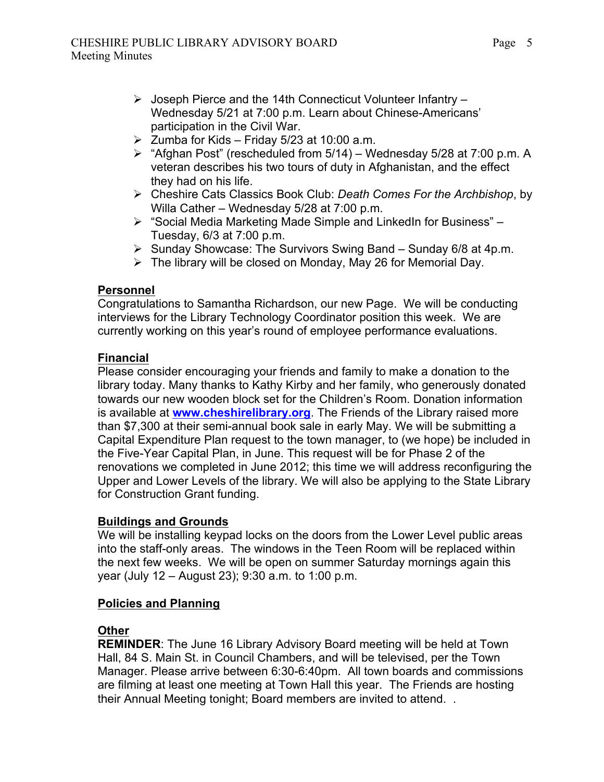- $\triangleright$  Joseph Pierce and the 14th Connecticut Volunteer Infantry Wednesday 5/21 at 7:00 p.m. Learn about Chinese-Americans' participation in the Civil War.
- $\geq$  Zumba for Kids Friday 5/23 at 10:00 a.m.
- $\triangleright$  "Afghan Post" (rescheduled from 5/14) Wednesday 5/28 at 7:00 p.m. A veteran describes his two tours of duty in Afghanistan, and the effect they had on his life.
- ! Cheshire Cats Classics Book Club: *Death Comes For the Archbishop*, by Willa Cather – Wednesday 5/28 at 7:00 p.m.
- ! "Social Media Marketing Made Simple and LinkedIn for Business" Tuesday, 6/3 at 7:00 p.m.
- $\triangleright$  Sunday Showcase: The Survivors Swing Band Sunday 6/8 at 4p.m.
- $\triangleright$  The library will be closed on Monday, May 26 for Memorial Day.

# **Personnel**

Congratulations to Samantha Richardson, our new Page. We will be conducting interviews for the Library Technology Coordinator position this week. We are currently working on this year's round of employee performance evaluations.

# **Financial**

Please consider encouraging your friends and family to make a donation to the library today. Many thanks to Kathy Kirby and her family, who generously donated towards our new wooden block set for the Children's Room. Donation information is available at **www.cheshirelibrary.org**. The Friends of the Library raised more than \$7,300 at their semi-annual book sale in early May. We will be submitting a Capital Expenditure Plan request to the town manager, to (we hope) be included in the Five-Year Capital Plan, in June. This request will be for Phase 2 of the renovations we completed in June 2012; this time we will address reconfiguring the Upper and Lower Levels of the library. We will also be applying to the State Library for Construction Grant funding.

#### **Buildings and Grounds**

We will be installing keypad locks on the doors from the Lower Level public areas into the staff-only areas. The windows in the Teen Room will be replaced within the next few weeks. We will be open on summer Saturday mornings again this year (July 12 – August 23); 9:30 a.m. to 1:00 p.m.

# **Policies and Planning**

# **Other**

**REMINDER**: The June 16 Library Advisory Board meeting will be held at Town Hall, 84 S. Main St. in Council Chambers, and will be televised, per the Town Manager. Please arrive between 6:30-6:40pm. All town boards and commissions are filming at least one meeting at Town Hall this year. The Friends are hosting their Annual Meeting tonight; Board members are invited to attend. .